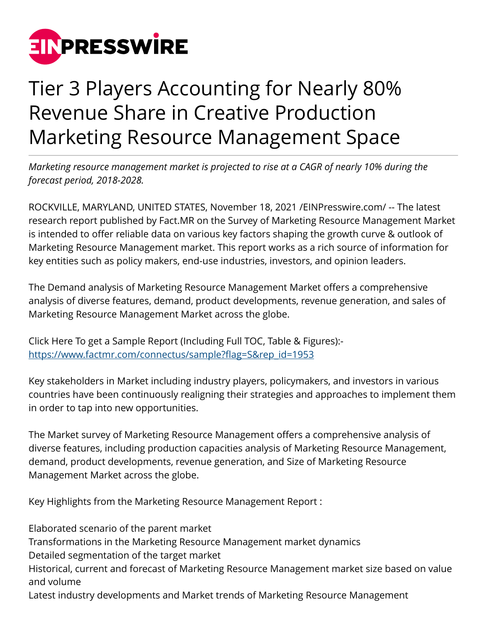

## Tier 3 Players Accounting for Nearly 80% Revenue Share in Creative Production Marketing Resource Management Space

*Marketing resource management market is projected to rise at a CAGR of nearly 10% during the forecast period, 2018-2028.*

ROCKVILLE, MARYLAND, UNITED STATES, November 18, 2021 [/EINPresswire.com](http://www.einpresswire.com)/ -- The latest research report published by Fact.MR on the Survey of Marketing Resource Management Market is intended to offer reliable data on various key factors shaping the growth curve & outlook of Marketing Resource Management market. This report works as a rich source of information for key entities such as policy makers, end-use industries, investors, and opinion leaders.

The Demand analysis of Marketing Resource Management Market offers a comprehensive analysis of diverse features, demand, product developments, revenue generation, and sales of Marketing Resource Management Market across the globe.

Click Here To get a Sample Report (Including Full TOC, Table & Figures): [https://www.factmr.com/connectus/sample?flag=S&rep\\_id=1953](https://www.factmr.com/connectus/sample?flag=S&rep_id=1953)

Key stakeholders in Market including industry players, policymakers, and investors in various countries have been continuously realigning their strategies and approaches to implement them in order to tap into new opportunities.

The Market survey of Marketing Resource Management offers a comprehensive analysis of diverse features, including production capacities analysis of Marketing Resource Management, demand, product developments, revenue generation, and Size of Marketing Resource Management Market across the globe.

Key Highlights from the Marketing Resource Management Report :

Elaborated scenario of the parent market

Transformations in the Marketing Resource Management market dynamics

Detailed segmentation of the target market

Historical, current and forecast of Marketing Resource Management market size based on value and volume

Latest industry developments and Market trends of Marketing Resource Management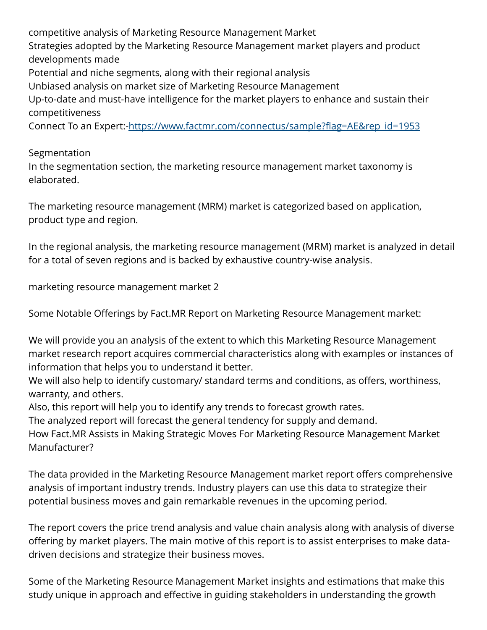competitive analysis of Marketing Resource Management Market Strategies adopted by the Marketing Resource Management market players and product developments made Potential and niche segments, along with their regional analysis Unbiased analysis on market size of Marketing Resource Management Up-to-date and must-have intelligence for the market players to enhance and sustain their competitiveness Connect To an Expert:-[https://www.factmr.com/connectus/sample?flag=AE&rep\\_id=1953](https://www.factmr.com/connectus/sample?flag=AE&rep_id=1953)

Segmentation

In the segmentation section, the marketing resource management market taxonomy is elaborated.

The marketing resource management (MRM) market is categorized based on application, product type and region.

In the regional analysis, the marketing resource management (MRM) market is analyzed in detail for a total of seven regions and is backed by exhaustive country-wise analysis.

marketing resource management market 2

Some Notable Offerings by Fact.MR Report on Marketing Resource Management market:

We will provide you an analysis of the extent to which this Marketing Resource Management market research report acquires commercial characteristics along with examples or instances of information that helps you to understand it better.

We will also help to identify customary/ standard terms and conditions, as offers, worthiness, warranty, and others.

Also, this report will help you to identify any trends to forecast growth rates.

The analyzed report will forecast the general tendency for supply and demand.

How Fact.MR Assists in Making Strategic Moves For Marketing Resource Management Market Manufacturer?

The data provided in the Marketing Resource Management market report offers comprehensive analysis of important industry trends. Industry players can use this data to strategize their potential business moves and gain remarkable revenues in the upcoming period.

The report covers the price trend analysis and value chain analysis along with analysis of diverse offering by market players. The main motive of this report is to assist enterprises to make datadriven decisions and strategize their business moves.

Some of the Marketing Resource Management Market insights and estimations that make this study unique in approach and effective in guiding stakeholders in understanding the growth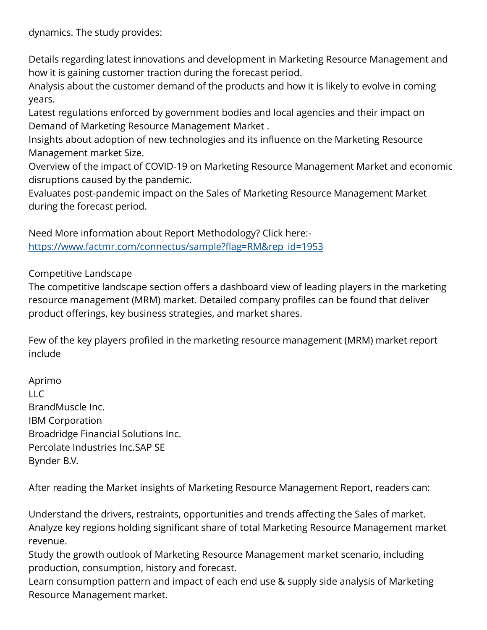dynamics. The study provides:

Details regarding latest innovations and development in Marketing Resource Management and how it is gaining customer traction during the forecast period.

Analysis about the customer demand of the products and how it is likely to evolve in coming years.

Latest regulations enforced by government bodies and local agencies and their impact on Demand of Marketing Resource Management Market .

Insights about adoption of new technologies and its influence on the Marketing Resource Management market Size.

Overview of the impact of COVID-19 on Marketing Resource Management Market and economic disruptions caused by the pandemic.

Evaluates post-pandemic impact on the Sales of Marketing Resource Management Market during the forecast period.

Need More information about Report Methodology? Click here: [https://www.factmr.com/connectus/sample?flag=RM&rep\\_id=1953](https://www.factmr.com/connectus/sample?flag=RM&rep_id=1953)

Competitive Landscape

The competitive landscape section offers a dashboard view of leading players in the marketing resource management (MRM) market. Detailed company profiles can be found that deliver product offerings, key business strategies, and market shares.

Few of the key players profiled in the marketing resource management (MRM) market report include

Aprimo LLC BrandMuscle Inc. IBM Corporation Broadridge Financial Solutions Inc. Percolate Industries Inc.SAP SE Bynder B.V.

After reading the Market insights of Marketing Resource Management Report, readers can:

Understand the drivers, restraints, opportunities and trends affecting the Sales of market. Analyze key regions holding significant share of total Marketing Resource Management market revenue.

Study the growth outlook of Marketing Resource Management market scenario, including production, consumption, history and forecast.

Learn consumption pattern and impact of each end use & supply side analysis of Marketing Resource Management market.